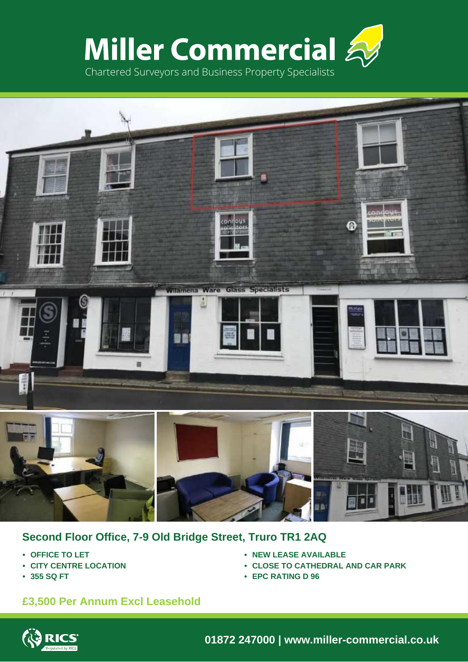



# **Second Floor Office, 7-9 Old Bridge Street, Truro TR1 2AQ**

- **• OFFICE TO LET**
- **• CITY CENTRE LOCATION**
- **• 355 SQ FT**
- **• NEW LEASE AVAILABLE**
- **• CLOSE TO CATHEDRAL AND CAR PARK**
- **• EPC RATING D 96**

# **£3,500 Per Annum Excl Leasehold**



**01872 247000 | www.miller-commercial.co.uk**